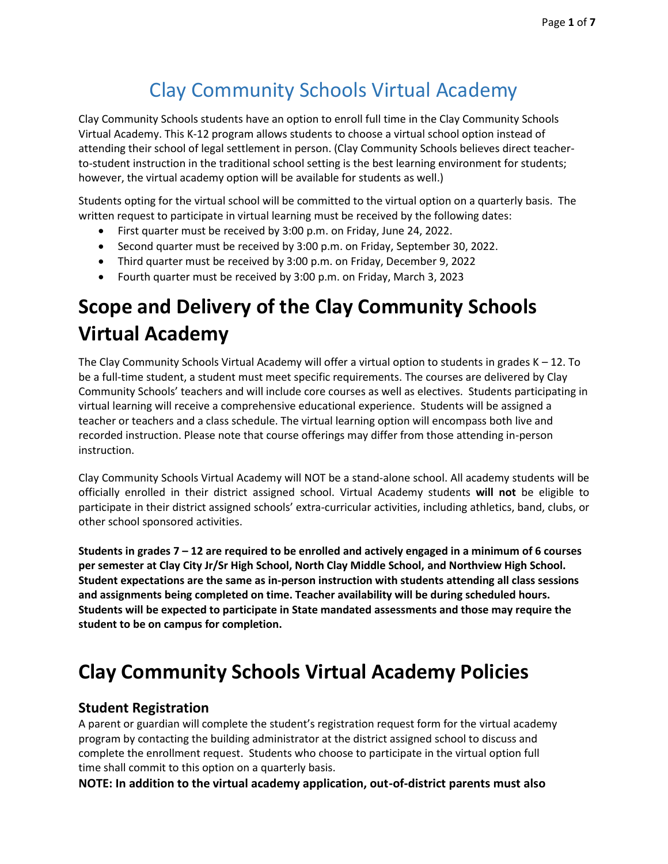# Clay Community Schools Virtual Academy

Clay Community Schools students have an option to enroll full time in the Clay Community Schools Virtual Academy. This K-12 program allows students to choose a virtual school option instead of attending their school of legal settlement in person. (Clay Community Schools believes direct teacherto-student instruction in the traditional school setting is the best learning environment for students; however, the virtual academy option will be available for students as well.)

Students opting for the virtual school will be committed to the virtual option on a quarterly basis. The written request to participate in virtual learning must be received by the following dates:

- First quarter must be received by 3:00 p.m. on Friday, June 24, 2022.
- Second quarter must be received by 3:00 p.m. on Friday, September 30, 2022.
- Third quarter must be received by 3:00 p.m. on Friday, December 9, 2022
- Fourth quarter must be received by 3:00 p.m. on Friday, March 3, 2023

# **Scope and Delivery of the Clay Community Schools Virtual Academy**

The Clay Community Schools Virtual Academy will offer a virtual option to students in grades  $K - 12$ . To be a full-time student, a student must meet specific requirements. The courses are delivered by Clay Community Schools' teachers and will include core courses as well as electives. Students participating in virtual learning will receive a comprehensive educational experience. Students will be assigned a teacher or teachers and a class schedule. The virtual learning option will encompass both live and recorded instruction. Please note that course offerings may differ from those attending in-person instruction.

Clay Community Schools Virtual Academy will NOT be a stand-alone school. All academy students will be officially enrolled in their district assigned school. Virtual Academy students **will not** be eligible to participate in their district assigned schools' extra-curricular activities, including athletics, band, clubs, or other school sponsored activities.

**Students in grades 7 – 12 are required to be enrolled and actively engaged in a minimum of 6 courses per semester at Clay City Jr/Sr High School, North Clay Middle School, and Northview High School. Student expectations are the same as in-person instruction with students attending all class sessions and assignments being completed on time. Teacher availability will be during scheduled hours. Students will be expected to participate in State mandated assessments and those may require the student to be on campus for completion.** 

# **Clay Community Schools Virtual Academy Policies**

## **Student Registration**

A parent or guardian will complete the student's registration request form for the virtual academy program by contacting the building administrator at the district assigned school to discuss and complete the enrollment request. Students who choose to participate in the virtual option full time shall commit to this option on a quarterly basis.

**NOTE: In addition to the virtual academy application, out-of-district parents must also**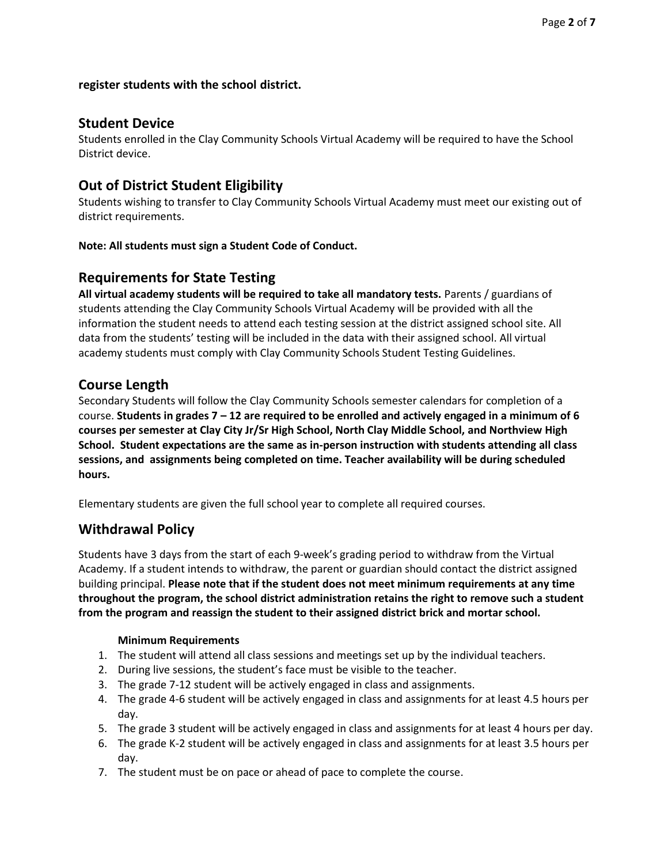#### **register students with the school district.**

#### **Student Device**

Students enrolled in the Clay Community Schools Virtual Academy will be required to have the School District device.

### **Out of District Student Eligibility**

Students wishing to transfer to Clay Community Schools Virtual Academy must meet our existing out of district requirements.

#### **Note: All students must sign a Student Code of Conduct.**

#### **Requirements for State Testing**

**All virtual academy students will be required to take all mandatory tests.** Parents / guardians of students attending the Clay Community Schools Virtual Academy will be provided with all the information the student needs to attend each testing session at the district assigned school site. All data from the students' testing will be included in the data with their assigned school. All virtual academy students must comply with Clay Community Schools Student Testing Guidelines.

#### **Course Length**

Secondary Students will follow the Clay Community Schools semester calendars for completion of a course. **Students in grades 7 – 12 are required to be enrolled and actively engaged in a minimum of 6 courses per semester at Clay City Jr/Sr High School, North Clay Middle School, and Northview High School. Student expectations are the same as in-person instruction with students attending all class sessions, and assignments being completed on time. Teacher availability will be during scheduled hours.** 

Elementary students are given the full school year to complete all required courses.

#### **Withdrawal Policy**

Students have 3 days from the start of each 9-week's grading period to withdraw from the Virtual Academy. If a student intends to withdraw, the parent or guardian should contact the district assigned building principal. **Please note that if the student does not meet minimum requirements at any time throughout the program, the school district administration retains the right to remove such a student from the program and reassign the student to their assigned district brick and mortar school.**

#### **Minimum Requirements**

- 1. The student will attend all class sessions and meetings set up by the individual teachers.
- 2. During live sessions, the student's face must be visible to the teacher.
- 3. The grade 7-12 student will be actively engaged in class and assignments.
- 4. The grade 4-6 student will be actively engaged in class and assignments for at least 4.5 hours per day.
- 5. The grade 3 student will be actively engaged in class and assignments for at least 4 hours per day.
- 6. The grade K-2 student will be actively engaged in class and assignments for at least 3.5 hours per day.
- 7. The student must be on pace or ahead of pace to complete the course.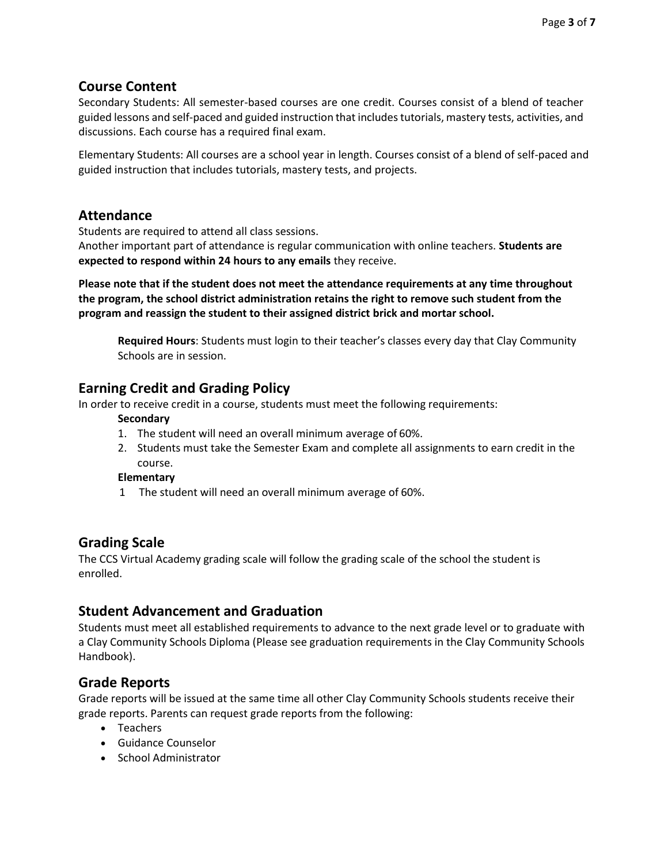#### **Course Content**

Secondary Students: All semester-based courses are one credit. Courses consist of a blend of teacher guided lessons and self-paced and guided instruction that includes tutorials, mastery tests, activities, and discussions. Each course has a required final exam.

Elementary Students: All courses are a school year in length. Courses consist of a blend of self-paced and guided instruction that includes tutorials, mastery tests, and projects.

#### **Attendance**

Students are required to attend all class sessions.

Another important part of attendance is regular communication with online teachers. **Students are expected to respond within 24 hours to any emails** they receive.

**Please note that if the student does not meet the attendance requirements at any time throughout the program, the school district administration retains the right to remove such student from the program and reassign the student to their assigned district brick and mortar school.**

**Required Hours**: Students must login to their teacher's classes every day that Clay Community Schools are in session.

#### **Earning Credit and Grading Policy**

In order to receive credit in a course, students must meet the following requirements:

#### **Secondary**

- 1. The student will need an overall minimum average of 60%.
- 2. Students must take the Semester Exam and complete all assignments to earn credit in the course.

#### **Elementary**

1 The student will need an overall minimum average of 60%.

#### **Grading Scale**

The CCS Virtual Academy grading scale will follow the grading scale of the school the student is enrolled.

#### **Student Advancement and Graduation**

Students must meet all established requirements to advance to the next grade level or to graduate with a Clay Community Schools Diploma (Please see graduation requirements in the Clay Community Schools Handbook).

#### **Grade Reports**

Grade reports will be issued at the same time all other Clay Community Schools students receive their grade reports. Parents can request grade reports from the following:

- Teachers
- Guidance Counselor
- School Administrator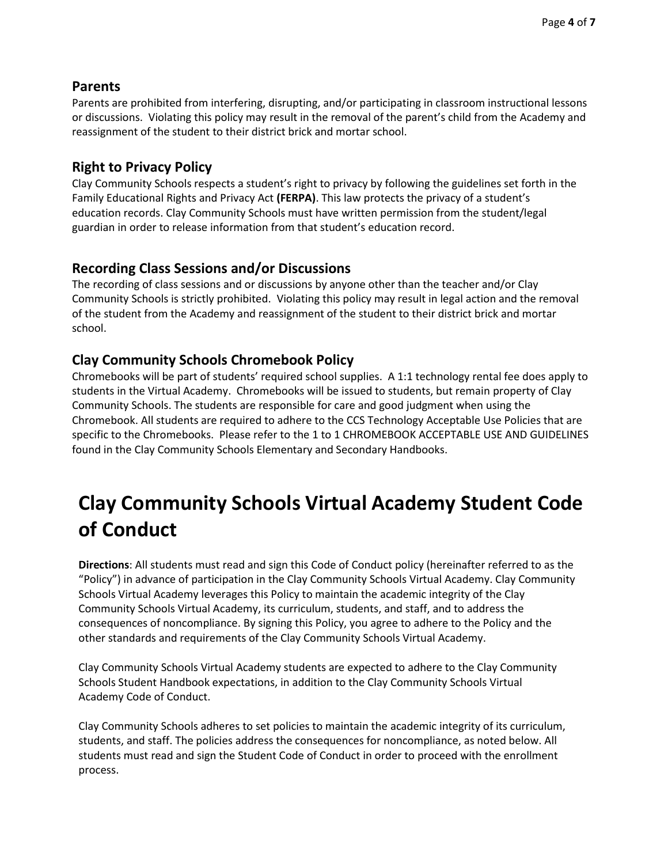### **Parents**

Parents are prohibited from interfering, disrupting, and/or participating in classroom instructional lessons or discussions. Violating this policy may result in the removal of the parent's child from the Academy and reassignment of the student to their district brick and mortar school.

# **Right to Privacy Policy**

Clay Community Schools respects a student's right to privacy by following the guidelines set forth in the Family Educational Rights and Privacy Act **(FERPA)**. This law protects the privacy of a student's education records. Clay Community Schools must have written permission from the student/legal guardian in order to release information from that student's education record.

# **Recording Class Sessions and/or Discussions**

The recording of class sessions and or discussions by anyone other than the teacher and/or Clay Community Schools is strictly prohibited. Violating this policy may result in legal action and the removal of the student from the Academy and reassignment of the student to their district brick and mortar school.

# **Clay Community Schools Chromebook Policy**

Chromebooks will be part of students' required school supplies. A 1:1 technology rental fee does apply to students in the Virtual Academy. Chromebooks will be issued to students, but remain property of Clay Community Schools. The students are responsible for care and good judgment when using the Chromebook. All students are required to adhere to the CCS Technology Acceptable Use Policies that are specific to the Chromebooks. Please refer to the 1 to 1 CHROMEBOOK ACCEPTABLE USE AND GUIDELINES found in the Clay Community Schools Elementary and Secondary Handbooks.

# **Clay Community Schools Virtual Academy Student Code of Conduct**

**Directions**: All students must read and sign this Code of Conduct policy (hereinafter referred to as the "Policy") in advance of participation in the Clay Community Schools Virtual Academy. Clay Community Schools Virtual Academy leverages this Policy to maintain the academic integrity of the Clay Community Schools Virtual Academy, its curriculum, students, and staff, and to address the consequences of noncompliance. By signing this Policy, you agree to adhere to the Policy and the other standards and requirements of the Clay Community Schools Virtual Academy.

Clay Community Schools Virtual Academy students are expected to adhere to the Clay Community Schools Student Handbook expectations, in addition to the Clay Community Schools Virtual Academy Code of Conduct.

Clay Community Schools adheres to set policies to maintain the academic integrity of its curriculum, students, and staff. The policies address the consequences for noncompliance, as noted below. All students must read and sign the Student Code of Conduct in order to proceed with the enrollment process.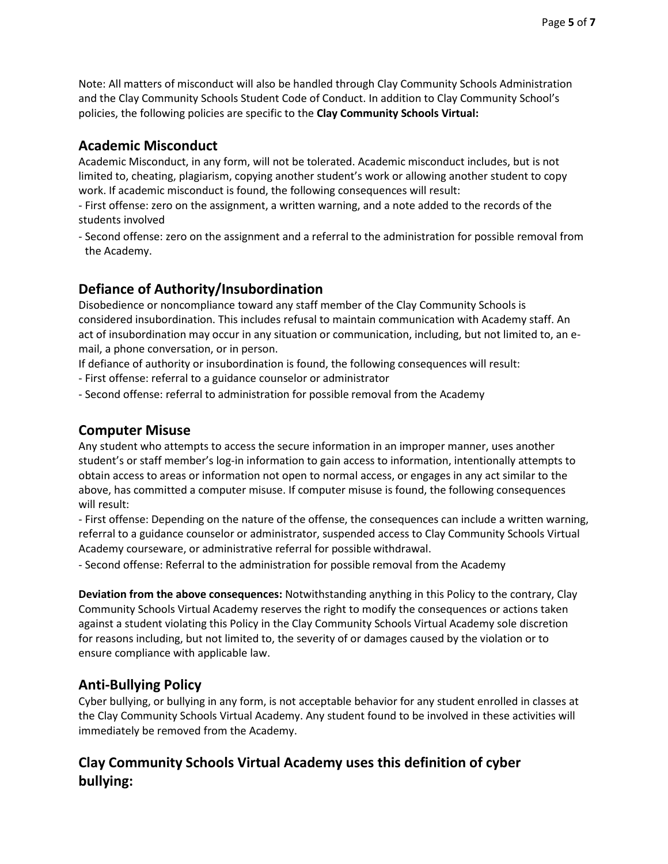Note: All matters of misconduct will also be handled through Clay Community Schools Administration and the Clay Community Schools Student Code of Conduct. In addition to Clay Community School's policies, the following policies are specific to the **Clay Community Schools Virtual:**

### **Academic Misconduct**

Academic Misconduct, in any form, will not be tolerated. Academic misconduct includes, but is not limited to, cheating, plagiarism, copying another student's work or allowing another student to copy work. If academic misconduct is found, the following consequences will result:

- First offense: zero on the assignment, a written warning, and a note added to the records of the students involved

- Second offense: zero on the assignment and a referral to the administration for possible removal from the Academy.

# **Defiance of Authority/Insubordination**

Disobedience or noncompliance toward any staff member of the Clay Community Schools is considered insubordination. This includes refusal to maintain communication with Academy staff. An act of insubordination may occur in any situation or communication, including, but not limited to, an email, a phone conversation, or in person.

If defiance of authority or insubordination is found, the following consequences will result:

- First offense: referral to a guidance counselor or administrator

- Second offense: referral to administration for possible removal from the Academy

## **Computer Misuse**

Any student who attempts to access the secure information in an improper manner, uses another student's or staff member's log-in information to gain access to information, intentionally attempts to obtain access to areas or information not open to normal access, or engages in any act similar to the above, has committed a computer misuse. If computer misuse is found, the following consequences will result:

- First offense: Depending on the nature of the offense, the consequences can include a written warning, referral to a guidance counselor or administrator, suspended access to Clay Community Schools Virtual Academy courseware, or administrative referral for possible withdrawal.

- Second offense: Referral to the administration for possible removal from the Academy

**Deviation from the above consequences:** Notwithstanding anything in this Policy to the contrary, Clay Community Schools Virtual Academy reserves the right to modify the consequences or actions taken against a student violating this Policy in the Clay Community Schools Virtual Academy sole discretion for reasons including, but not limited to, the severity of or damages caused by the violation or to ensure compliance with applicable law.

## **Anti-Bullying Policy**

Cyber bullying, or bullying in any form, is not acceptable behavior for any student enrolled in classes at the Clay Community Schools Virtual Academy. Any student found to be involved in these activities will immediately be removed from the Academy.

# **Clay Community Schools Virtual Academy uses this definition of cyber bullying:**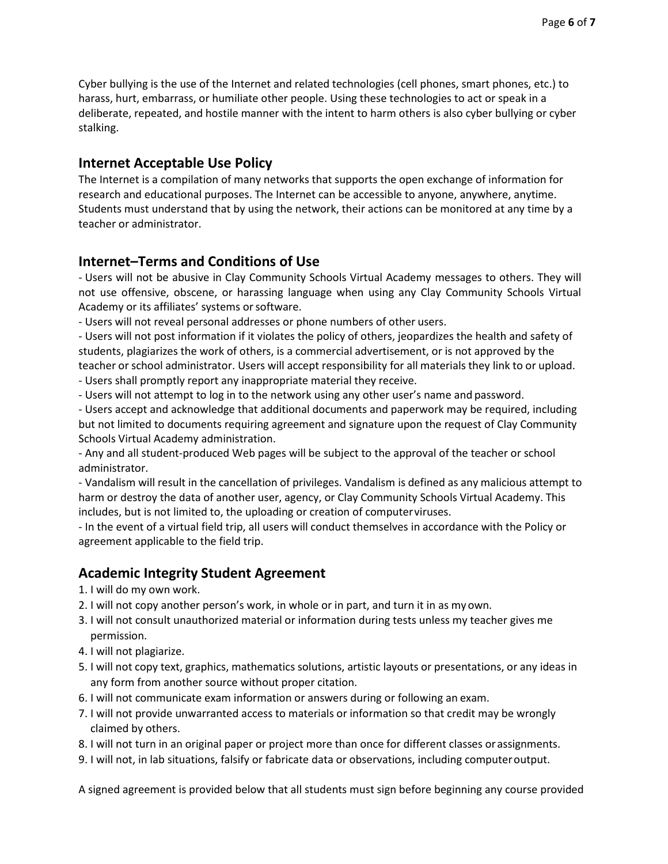Cyber bullying is the use of the Internet and related technologies (cell phones, smart phones, etc.) to harass, hurt, embarrass, or humiliate other people. Using these technologies to act or speak in a deliberate, repeated, and hostile manner with the intent to harm others is also cyber bullying or cyber stalking.

### **Internet Acceptable Use Policy**

The Internet is a compilation of many networks that supports the open exchange of information for research and educational purposes. The Internet can be accessible to anyone, anywhere, anytime. Students must understand that by using the network, their actions can be monitored at any time by a teacher or administrator.

### **Internet–Terms and Conditions of Use**

- Users will not be abusive in Clay Community Schools Virtual Academy messages to others. They will not use offensive, obscene, or harassing language when using any Clay Community Schools Virtual Academy or its affiliates' systems or software.

- Users will not reveal personal addresses or phone numbers of other users.

- Users will not post information if it violates the policy of others, jeopardizes the health and safety of students, plagiarizes the work of others, is a commercial advertisement, or is not approved by the teacher or school administrator. Users will accept responsibility for all materials they link to or upload.

- Users shall promptly report any inappropriate material they receive.

- Users will not attempt to log in to the network using any other user's name and password.

- Users accept and acknowledge that additional documents and paperwork may be required, including but not limited to documents requiring agreement and signature upon the request of Clay Community Schools Virtual Academy administration.

- Any and all student-produced Web pages will be subject to the approval of the teacher or school administrator.

- Vandalism will result in the cancellation of privileges. Vandalism is defined as any malicious attempt to harm or destroy the data of another user, agency, or Clay Community Schools Virtual Academy. This includes, but is not limited to, the uploading or creation of computerviruses.

- In the event of a virtual field trip, all users will conduct themselves in accordance with the Policy or agreement applicable to the field trip.

## **Academic Integrity Student Agreement**

- 1. I will do my own work.
- 2. I will not copy another person's work, in whole or in part, and turn it in as my own.
- 3. I will not consult unauthorized material or information during tests unless my teacher gives me permission.
- 4. I will not plagiarize.
- 5. I will not copy text, graphics, mathematics solutions, artistic layouts or presentations, or any ideas in any form from another source without proper citation.
- 6. I will not communicate exam information or answers during or following an exam.
- 7. I will not provide unwarranted access to materials or information so that credit may be wrongly claimed by others.
- 8. I will not turn in an original paper or project more than once for different classes orassignments.
- 9. I will not, in lab situations, falsify or fabricate data or observations, including computeroutput.

A signed agreement is provided below that all students must sign before beginning any course provided